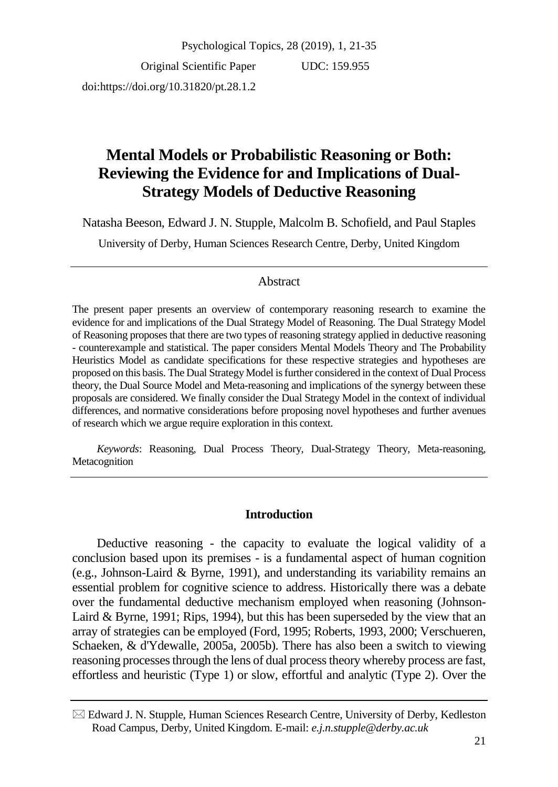Original Scientific Paper doi:https://doi.org/10.31820/pt.28.1.2

UDC: 159.955

# **Mental Models or Probabilistic Reasoning or Both: Reviewing the Evidence for and Implications of Dual-Strategy Models of Deductive Reasoning**

Natasha Beeson, Edward J. N. Stupple, Malcolm B. Schofield, and Paul Staples

University of Derby, Human Sciences Research Centre, Derby, United Kingdom

### Abstract

The present paper presents an overview of contemporary reasoning research to examine the evidence for and implications of the Dual Strategy Model of Reasoning. The Dual Strategy Model of Reasoning proposes that there are two types of reasoning strategy applied in deductive reasoning - counterexample and statistical. The paper considers Mental Models Theory and The Probability Heuristics Model as candidate specifications for these respective strategies and hypotheses are proposed on this basis. The Dual Strategy Model is further considered in the context of Dual Process theory, the Dual Source Model and Meta-reasoning and implications of the synergy between these proposals are considered. We finally consider the Dual Strategy Model in the context of individual differences, and normative considerations before proposing novel hypotheses and further avenues of research which we argue require exploration in this context.

*Keywords*: Reasoning, Dual Process Theory, Dual-Strategy Theory, Meta-reasoning, Metacognition

## **Introduction**

Deductive reasoning - the capacity to evaluate the logical validity of a conclusion based upon its premises - is a fundamental aspect of human cognition (e.g., Johnson-Laird & Byrne, 1991), and understanding its variability remains an essential problem for cognitive science to address. Historically there was a debate over the fundamental deductive mechanism employed when reasoning (Johnson-Laird & Byrne, 1991; Rips, 1994), but this has been superseded by the view that an array of strategies can be employed (Ford, 1995; Roberts, 1993, 2000; Verschueren, Schaeken, & d'Ydewalle, 2005a, 2005b). There has also been a switch to viewing reasoning processes through the lens of dual process theory whereby process are fast, effortless and heuristic (Type 1) or slow, effortful and analytic (Type 2). Over the

 $\boxtimes$  Edward J. N. Stupple, Human Sciences Research Centre, University of Derby, Kedleston Road Campus, Derby, United Kingdom. E-mail: *e.j.n.stupple@derby.ac.uk*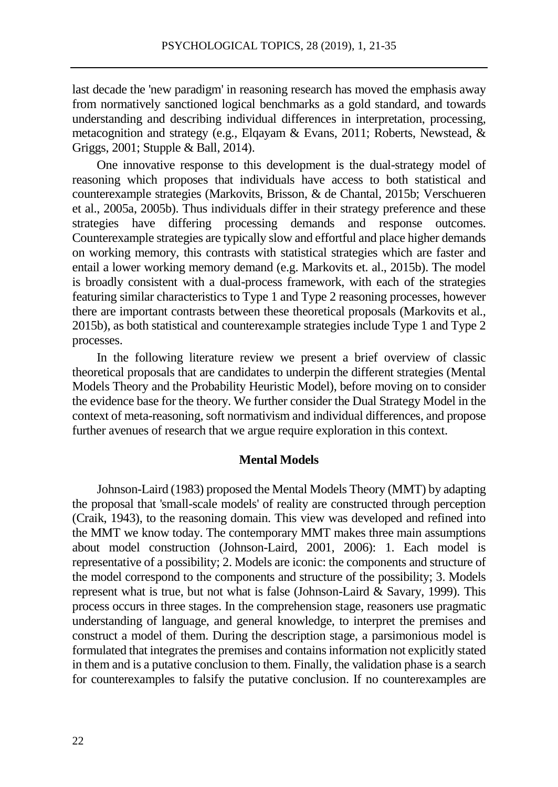last decade the 'new paradigm' in reasoning research has moved the emphasis away from normatively sanctioned logical benchmarks as a gold standard, and towards understanding and describing individual differences in interpretation, processing, metacognition and strategy (e.g., Elqayam & Evans, 2011; Roberts, Newstead, & Griggs, 2001; Stupple & Ball, 2014).

One innovative response to this development is the dual-strategy model of reasoning which proposes that individuals have access to both statistical and counterexample strategies (Markovits, Brisson, & de Chantal, 2015b; Verschueren et al., 2005a, 2005b). Thus individuals differ in their strategy preference and these strategies have differing processing demands and response outcomes. Counterexample strategies are typically slow and effortful and place higher demands on working memory, this contrasts with statistical strategies which are faster and entail a lower working memory demand (e.g. Markovits et. al., 2015b). The model is broadly consistent with a dual-process framework, with each of the strategies featuring similar characteristics to Type 1 and Type 2 reasoning processes, however there are important contrasts between these theoretical proposals (Markovits et al., 2015b), as both statistical and counterexample strategies include Type 1 and Type 2 processes.

In the following literature review we present a brief overview of classic theoretical proposals that are candidates to underpin the different strategies (Mental Models Theory and the Probability Heuristic Model), before moving on to consider the evidence base for the theory. We further consider the Dual Strategy Model in the context of meta-reasoning, soft normativism and individual differences, and propose further avenues of research that we argue require exploration in this context.

#### **Mental Models**

Johnson-Laird (1983) proposed the Mental Models Theory (MMT) by adapting the proposal that 'small-scale models' of reality are constructed through perception (Craik, 1943), to the reasoning domain. This view was developed and refined into the MMT we know today. The contemporary MMT makes three main assumptions about model construction (Johnson-Laird, 2001, 2006): 1. Each model is representative of a possibility; 2. Models are iconic: the components and structure of the model correspond to the components and structure of the possibility; 3. Models represent what is true, but not what is false (Johnson-Laird & Savary, 1999). This process occurs in three stages. In the comprehension stage, reasoners use pragmatic understanding of language, and general knowledge, to interpret the premises and construct a model of them. During the description stage, a parsimonious model is formulated that integrates the premises and containsinformation not explicitly stated in them and is a putative conclusion to them. Finally, the validation phase is a search for counterexamples to falsify the putative conclusion. If no counterexamples are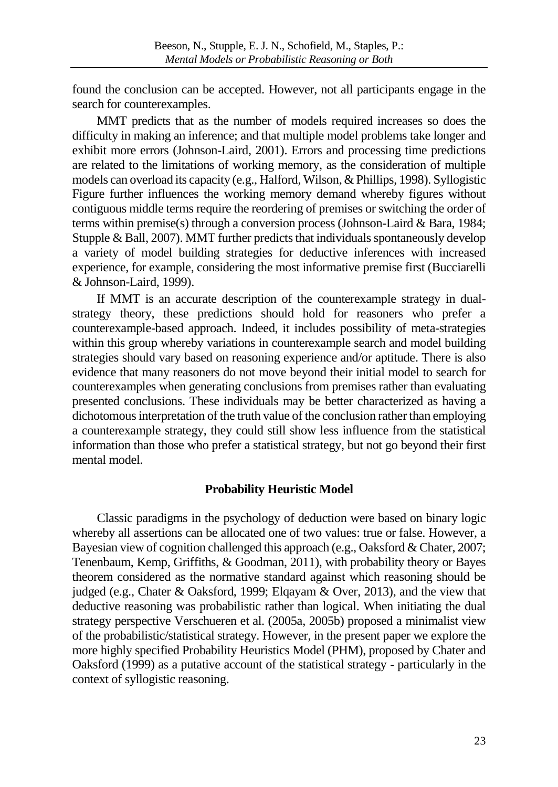found the conclusion can be accepted. However, not all participants engage in the search for counterexamples.

MMT predicts that as the number of models required increases so does the difficulty in making an inference; and that multiple model problems take longer and exhibit more errors (Johnson-Laird, 2001). Errors and processing time predictions are related to the limitations of working memory, as the consideration of multiple models can overload its capacity (e.g., Halford, Wilson,& Phillips, 1998). Syllogistic Figure further influences the working memory demand whereby figures without contiguous middle terms require the reordering of premises or switching the order of terms within premise(s) through a conversion process (Johnson-Laird & Bara, 1984; Stupple & Ball, 2007). MMT further predicts that individuals spontaneously develop a variety of model building strategies for deductive inferences with increased experience, for example, considering the most informative premise first (Bucciarelli & Johnson-Laird, 1999).

If MMT is an accurate description of the counterexample strategy in dualstrategy theory, these predictions should hold for reasoners who prefer a counterexample-based approach. Indeed, it includes possibility of meta-strategies within this group whereby variations in counterexample search and model building strategies should vary based on reasoning experience and/or aptitude. There is also evidence that many reasoners do not move beyond their initial model to search for counterexamples when generating conclusions from premises rather than evaluating presented conclusions. These individuals may be better characterized as having a dichotomous interpretation of the truth value of the conclusion rather than employing a counterexample strategy, they could still show less influence from the statistical information than those who prefer a statistical strategy, but not go beyond their first mental model.

## **Probability Heuristic Model**

Classic paradigms in the psychology of deduction were based on binary logic whereby all assertions can be allocated one of two values: true or false. However, a Bayesian view of cognition challenged this approach (e.g., Oaksford & Chater, 2007; Tenenbaum, Kemp, Griffiths, & Goodman, 2011), with probability theory or Bayes theorem considered as the normative standard against which reasoning should be judged (e.g., Chater & Oaksford, 1999; Elqayam & Over, 2013), and the view that deductive reasoning was probabilistic rather than logical. When initiating the dual strategy perspective Verschueren et al. (2005a, 2005b) proposed a minimalist view of the probabilistic/statistical strategy. However, in the present paper we explore the more highly specified Probability Heuristics Model (PHM), proposed by Chater and Oaksford (1999) as a putative account of the statistical strategy - particularly in the context of syllogistic reasoning.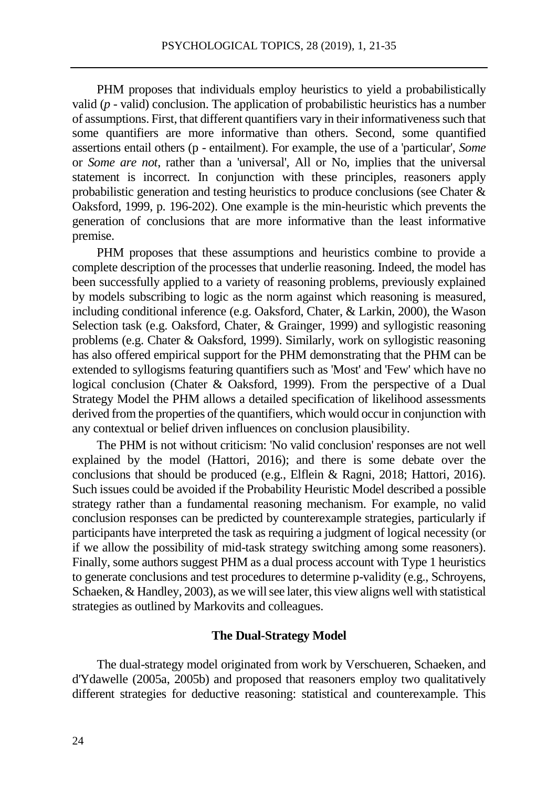PHM proposes that individuals employ heuristics to yield a probabilistically valid (*p* - valid) conclusion. The application of probabilistic heuristics has a number of assumptions. First, that different quantifiers vary in their informativeness such that some quantifiers are more informative than others. Second, some quantified assertions entail others (p - entailment). For example, the use of a 'particular', *Some* or *Some are not*, rather than a 'universal', All or No, implies that the universal statement is incorrect. In conjunction with these principles, reasoners apply probabilistic generation and testing heuristics to produce conclusions (see Chater & Oaksford, 1999, p. 196-202). One example is the min-heuristic which prevents the generation of conclusions that are more informative than the least informative premise.

PHM proposes that these assumptions and heuristics combine to provide a complete description of the processes that underlie reasoning. Indeed, the model has been successfully applied to a variety of reasoning problems, previously explained by models subscribing to logic as the norm against which reasoning is measured, including conditional inference (e.g. Oaksford, Chater, & Larkin, 2000), the Wason Selection task (e.g. Oaksford, Chater, & Grainger, 1999) and syllogistic reasoning problems (e.g. Chater & Oaksford, 1999). Similarly, work on syllogistic reasoning has also offered empirical support for the PHM demonstrating that the PHM can be extended to syllogisms featuring quantifiers such as 'Most' and 'Few' which have no logical conclusion (Chater & Oaksford, 1999). From the perspective of a Dual Strategy Model the PHM allows a detailed specification of likelihood assessments derived from the properties of the quantifiers, which would occur in conjunction with any contextual or belief driven influences on conclusion plausibility.

The PHM is not without criticism: 'No valid conclusion' responses are not well explained by the model (Hattori, 2016); and there is some debate over the conclusions that should be produced (e.g., Elflein & Ragni, 2018; Hattori, 2016). Such issues could be avoided if the Probability Heuristic Model described a possible strategy rather than a fundamental reasoning mechanism. For example, no valid conclusion responses can be predicted by counterexample strategies, particularly if participants have interpreted the task as requiring a judgment of logical necessity (or if we allow the possibility of mid-task strategy switching among some reasoners). Finally, some authors suggest PHM as a dual process account with Type 1 heuristics to generate conclusions and test procedures to determine p-validity (e.g., Schroyens, Schaeken, & Handley, 2003), as we will see later, this view aligns well with statistical strategies as outlined by Markovits and colleagues.

#### **The Dual-Strategy Model**

The dual-strategy model originated from work by Verschueren, Schaeken, and d'Ydawelle (2005a, 2005b) and proposed that reasoners employ two qualitatively different strategies for deductive reasoning: statistical and counterexample. This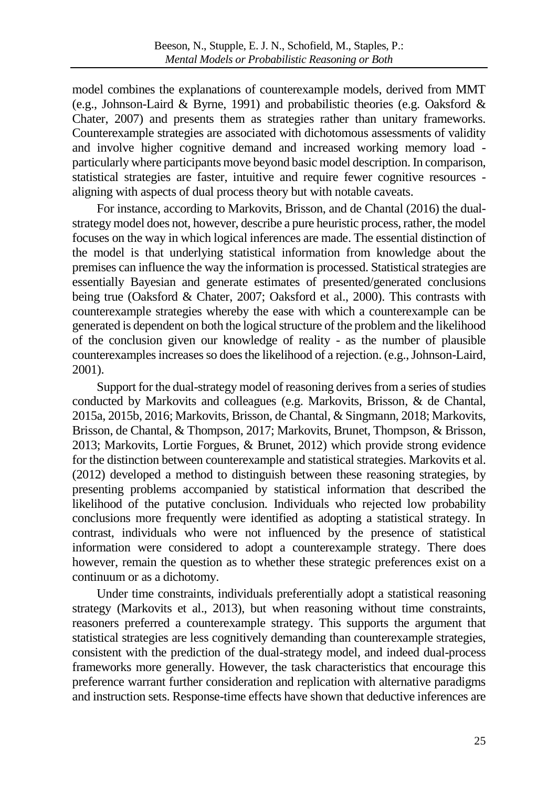model combines the explanations of counterexample models, derived from MMT (e.g., Johnson-Laird & Byrne, 1991) and probabilistic theories (e.g. Oaksford & Chater, 2007) and presents them as strategies rather than unitary frameworks. Counterexample strategies are associated with dichotomous assessments of validity and involve higher cognitive demand and increased working memory load particularly where participants move beyond basic model description. In comparison, statistical strategies are faster, intuitive and require fewer cognitive resources aligning with aspects of dual process theory but with notable caveats.

For instance, according to Markovits, Brisson, and de Chantal (2016) the dualstrategy model does not, however, describe a pure heuristic process, rather, the model focuses on the way in which logical inferences are made. The essential distinction of the model is that underlying statistical information from knowledge about the premises can influence the way the information is processed. Statistical strategies are essentially Bayesian and generate estimates of presented/generated conclusions being true (Oaksford & Chater, 2007; Oaksford et al., 2000). This contrasts with counterexample strategies whereby the ease with which a counterexample can be generated is dependent on both the logical structure of the problem and the likelihood of the conclusion given our knowledge of reality - as the number of plausible counterexamples increases so does the likelihood of a rejection. (e.g., Johnson-Laird, 2001).

Support for the dual-strategy model of reasoning derives from a series of studies conducted by Markovits and colleagues (e.g. Markovits, Brisson, & de Chantal, 2015a, 2015b, 2016; Markovits, Brisson, de Chantal, & Singmann, 2018; Markovits, Brisson, de Chantal, & Thompson, 2017; Markovits, Brunet, Thompson, & Brisson, 2013; Markovits, Lortie Forgues, & Brunet, 2012) which provide strong evidence for the distinction between counterexample and statistical strategies. Markovits et al. (2012) developed a method to distinguish between these reasoning strategies, by presenting problems accompanied by statistical information that described the likelihood of the putative conclusion. Individuals who rejected low probability conclusions more frequently were identified as adopting a statistical strategy. In contrast, individuals who were not influenced by the presence of statistical information were considered to adopt a counterexample strategy. There does however, remain the question as to whether these strategic preferences exist on a continuum or as a dichotomy.

Under time constraints, individuals preferentially adopt a statistical reasoning strategy (Markovits et al., 2013), but when reasoning without time constraints, reasoners preferred a counterexample strategy. This supports the argument that statistical strategies are less cognitively demanding than counterexample strategies, consistent with the prediction of the dual-strategy model, and indeed dual-process frameworks more generally. However, the task characteristics that encourage this preference warrant further consideration and replication with alternative paradigms and instruction sets. Response-time effects have shown that deductive inferences are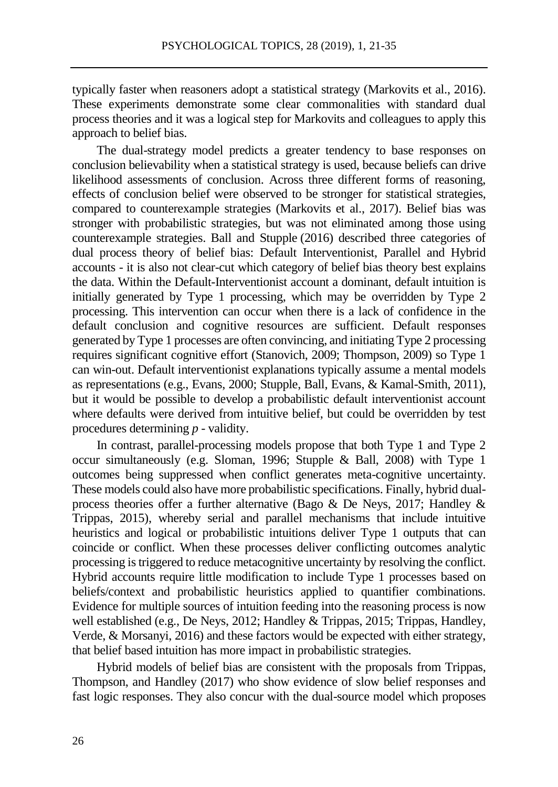typically faster when reasoners adopt a statistical strategy (Markovits et al., 2016). These experiments demonstrate some clear commonalities with standard dual process theories and it was a logical step for Markovits and colleagues to apply this approach to belief bias.

The dual-strategy model predicts a greater tendency to base responses on conclusion believability when a statistical strategy is used, because beliefs can drive likelihood assessments of conclusion. Across three different forms of reasoning, effects of conclusion belief were observed to be stronger for statistical strategies, compared to counterexample strategies (Markovits et al., 2017). Belief bias was stronger with probabilistic strategies, but was not eliminated among those using counterexample strategies. Ball and Stupple (2016) described three categories of dual process theory of belief bias: Default Interventionist, Parallel and Hybrid accounts - it is also not clear-cut which category of belief bias theory best explains the data. Within the Default-Interventionist account a dominant, default intuition is initially generated by Type 1 processing, which may be overridden by Type 2 processing. This intervention can occur when there is a lack of confidence in the default conclusion and cognitive resources are sufficient. Default responses generated by Type 1 processes are often convincing, and initiating Type 2 processing requires significant cognitive effort (Stanovich, 2009; Thompson, 2009) so Type 1 can win-out. Default interventionist explanations typically assume a mental models as representations (e.g., Evans, 2000; Stupple, Ball, Evans, & Kamal-Smith, 2011), but it would be possible to develop a probabilistic default interventionist account where defaults were derived from intuitive belief, but could be overridden by test procedures determining *p* - validity.

In contrast, parallel-processing models propose that both Type 1 and Type 2 occur simultaneously (e.g. Sloman, 1996; Stupple & Ball, 2008) with Type 1 outcomes being suppressed when conflict generates meta-cognitive uncertainty. These models could also have more probabilistic specifications. Finally, hybrid dualprocess theories offer a further alternative (Bago & De Neys, 2017; Handley & Trippas, 2015), whereby serial and parallel mechanisms that include intuitive heuristics and logical or probabilistic intuitions deliver Type 1 outputs that can coincide or conflict. When these processes deliver conflicting outcomes analytic processing is triggered to reduce metacognitive uncertainty by resolving the conflict. Hybrid accounts require little modification to include Type 1 processes based on beliefs/context and probabilistic heuristics applied to quantifier combinations. Evidence for multiple sources of intuition feeding into the reasoning process is now well established (e.g., De Neys, 2012; Handley & Trippas, 2015; Trippas, Handley, Verde, & Morsanyi, 2016) and these factors would be expected with either strategy, that belief based intuition has more impact in probabilistic strategies.

Hybrid models of belief bias are consistent with the proposals from Trippas, Thompson, and Handley (2017) who show evidence of slow belief responses and fast logic responses. They also concur with the dual-source model which proposes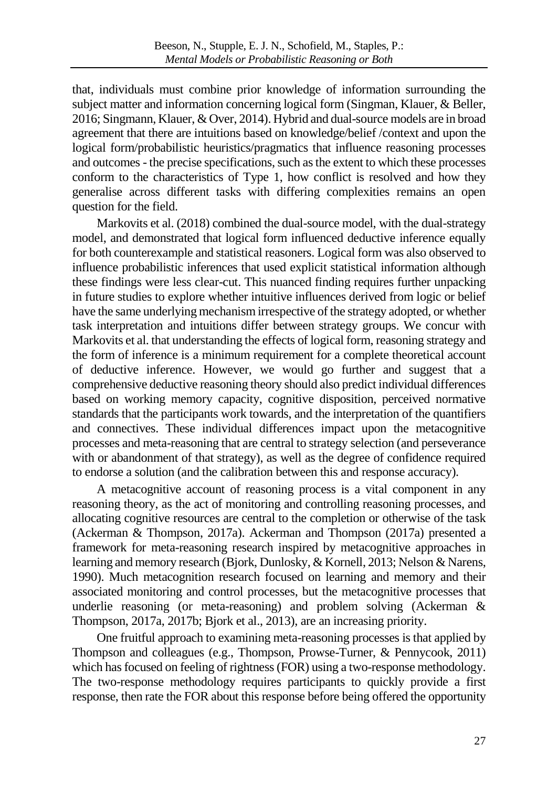that, individuals must combine prior knowledge of information surrounding the subject matter and information concerning logical form (Singman, Klauer, & Beller, 2016; Singmann, Klauer, & Over, 2014). Hybrid and dual-source models are in broad agreement that there are intuitions based on knowledge/belief /context and upon the logical form/probabilistic heuristics/pragmatics that influence reasoning processes and outcomes - the precise specifications, such as the extent to which these processes conform to the characteristics of Type 1, how conflict is resolved and how they generalise across different tasks with differing complexities remains an open question for the field.

Markovits et al. (2018) combined the dual-source model, with the dual-strategy model, and demonstrated that logical form influenced deductive inference equally for both counterexample and statistical reasoners. Logical form was also observed to influence probabilistic inferences that used explicit statistical information although these findings were less clear-cut. This nuanced finding requires further unpacking in future studies to explore whether intuitive influences derived from logic or belief have the same underlying mechanism irrespective of the strategy adopted, or whether task interpretation and intuitions differ between strategy groups. We concur with Markovits et al. that understanding the effects of logical form, reasoning strategy and the form of inference is a minimum requirement for a complete theoretical account of deductive inference. However, we would go further and suggest that a comprehensive deductive reasoning theory should also predict individual differences based on working memory capacity, cognitive disposition, perceived normative standards that the participants work towards, and the interpretation of the quantifiers and connectives. These individual differences impact upon the metacognitive processes and meta-reasoning that are central to strategy selection (and perseverance with or abandonment of that strategy), as well as the degree of confidence required to endorse a solution (and the calibration between this and response accuracy).

A metacognitive account of reasoning process is a vital component in any reasoning theory, as the act of monitoring and controlling reasoning processes, and allocating cognitive resources are central to the completion or otherwise of the task (Ackerman & Thompson, 2017a). Ackerman and Thompson (2017a) presented a framework for meta-reasoning research inspired by metacognitive approaches in learning and memory research (Bjork, Dunlosky, & Kornell, 2013; Nelson & Narens, 1990). Much metacognition research focused on learning and memory and their associated monitoring and control processes, but the metacognitive processes that underlie reasoning (or meta-reasoning) and problem solving (Ackerman & Thompson, 2017a, 2017b; Bjork et al., 2013), are an increasing priority.

One fruitful approach to examining meta-reasoning processes is that applied by Thompson and colleagues (e.g., Thompson, Prowse-Turner, & Pennycook, 2011) which has focused on feeling of rightness (FOR) using a two-response methodology. The two-response methodology requires participants to quickly provide a first response, then rate the FOR about this response before being offered the opportunity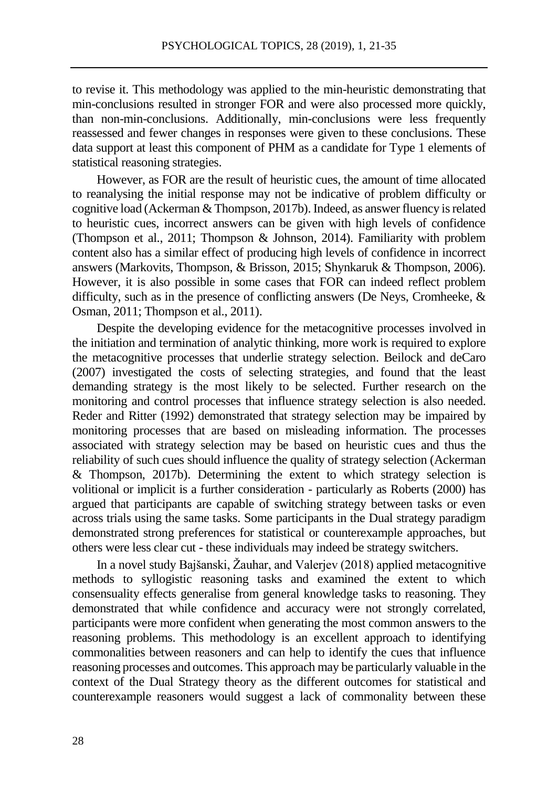to revise it. This methodology was applied to the min-heuristic demonstrating that min-conclusions resulted in stronger FOR and were also processed more quickly, than non-min-conclusions. Additionally, min-conclusions were less frequently reassessed and fewer changes in responses were given to these conclusions. These data support at least this component of PHM as a candidate for Type 1 elements of statistical reasoning strategies.

However, as FOR are the result of heuristic cues, the amount of time allocated to reanalysing the initial response may not be indicative of problem difficulty or cognitive load (Ackerman & Thompson, 2017b). Indeed, as answer fluency is related to heuristic cues, incorrect answers can be given with high levels of confidence (Thompson et al., 2011; Thompson & Johnson, 2014). Familiarity with problem content also has a similar effect of producing high levels of confidence in incorrect answers (Markovits, Thompson, & Brisson, 2015; Shynkaruk & Thompson, 2006). However, it is also possible in some cases that FOR can indeed reflect problem difficulty, such as in the presence of conflicting answers (De Neys, Cromheeke, & Osman, 2011; Thompson et al., 2011).

Despite the developing evidence for the metacognitive processes involved in the initiation and termination of analytic thinking, more work is required to explore the metacognitive processes that underlie strategy selection. Beilock and deCaro (2007) investigated the costs of selecting strategies, and found that the least demanding strategy is the most likely to be selected. Further research on the monitoring and control processes that influence strategy selection is also needed. Reder and Ritter (1992) demonstrated that strategy selection may be impaired by monitoring processes that are based on misleading information. The processes associated with strategy selection may be based on heuristic cues and thus the reliability of such cues should influence the quality of strategy selection (Ackerman & Thompson, 2017b). Determining the extent to which strategy selection is volitional or implicit is a further consideration - particularly as Roberts (2000) has argued that participants are capable of switching strategy between tasks or even across trials using the same tasks. Some participants in the Dual strategy paradigm demonstrated strong preferences for statistical or counterexample approaches, but others were less clear cut - these individuals may indeed be strategy switchers.

In a novel study Bajšanski, Žauhar, and Valerjev (2018) applied metacognitive methods to syllogistic reasoning tasks and examined the extent to which consensuality effects generalise from general knowledge tasks to reasoning. They demonstrated that while confidence and accuracy were not strongly correlated, participants were more confident when generating the most common answers to the reasoning problems. This methodology is an excellent approach to identifying commonalities between reasoners and can help to identify the cues that influence reasoning processes and outcomes. This approach may be particularly valuable in the context of the Dual Strategy theory as the different outcomes for statistical and counterexample reasoners would suggest a lack of commonality between these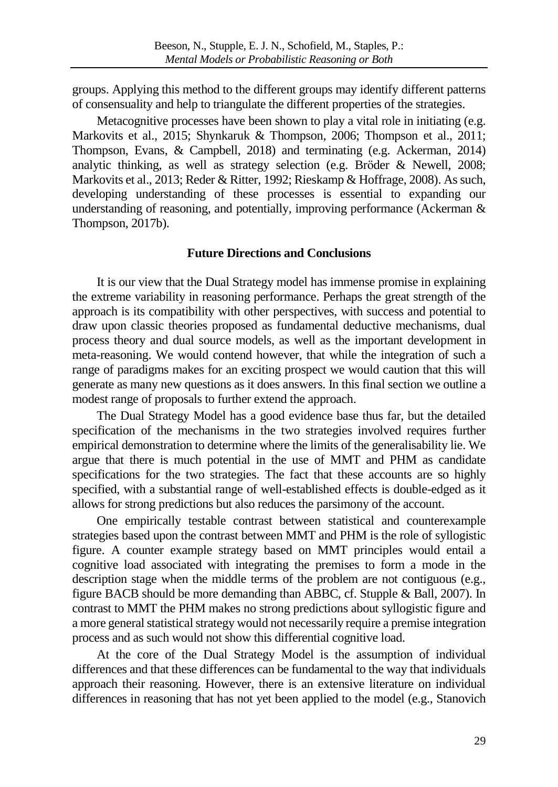groups. Applying this method to the different groups may identify different patterns of consensuality and help to triangulate the different properties of the strategies.

Metacognitive processes have been shown to play a vital role in initiating (e.g. Markovits et al., 2015; Shynkaruk & Thompson, 2006; Thompson et al., 2011; Thompson, Evans, & Campbell, 2018) and terminating (e.g. Ackerman, 2014) analytic thinking, as well as strategy selection (e.g. Bröder & Newell, 2008; Markovits et al., 2013; Reder & Ritter, 1992; Rieskamp & Hoffrage, 2008). As such, developing understanding of these processes is essential to expanding our understanding of reasoning, and potentially, improving performance (Ackerman & Thompson, 2017b).

## **Future Directions and Conclusions**

It is our view that the Dual Strategy model has immense promise in explaining the extreme variability in reasoning performance. Perhaps the great strength of the approach is its compatibility with other perspectives, with success and potential to draw upon classic theories proposed as fundamental deductive mechanisms, dual process theory and dual source models, as well as the important development in meta-reasoning. We would contend however, that while the integration of such a range of paradigms makes for an exciting prospect we would caution that this will generate as many new questions as it does answers. In this final section we outline a modest range of proposals to further extend the approach.

The Dual Strategy Model has a good evidence base thus far, but the detailed specification of the mechanisms in the two strategies involved requires further empirical demonstration to determine where the limits of the generalisability lie. We argue that there is much potential in the use of MMT and PHM as candidate specifications for the two strategies. The fact that these accounts are so highly specified, with a substantial range of well-established effects is double-edged as it allows for strong predictions but also reduces the parsimony of the account.

One empirically testable contrast between statistical and counterexample strategies based upon the contrast between MMT and PHM is the role of syllogistic figure. A counter example strategy based on MMT principles would entail a cognitive load associated with integrating the premises to form a mode in the description stage when the middle terms of the problem are not contiguous (e.g., figure BACB should be more demanding than ABBC, cf. Stupple & Ball, 2007). In contrast to MMT the PHM makes no strong predictions about syllogistic figure and a more general statistical strategy would not necessarily require a premise integration process and as such would not show this differential cognitive load.

At the core of the Dual Strategy Model is the assumption of individual differences and that these differences can be fundamental to the way that individuals approach their reasoning. However, there is an extensive literature on individual differences in reasoning that has not yet been applied to the model (e.g., Stanovich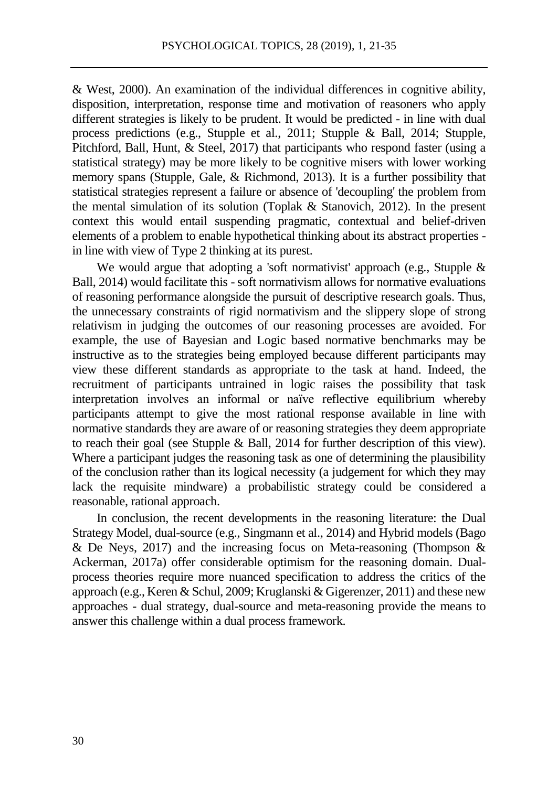& West, 2000). An examination of the individual differences in cognitive ability, disposition, interpretation, response time and motivation of reasoners who apply different strategies is likely to be prudent. It would be predicted - in line with dual process predictions (e.g., Stupple et al., 2011; Stupple & Ball, 2014; Stupple, Pitchford, Ball, Hunt, & Steel, 2017) that participants who respond faster (using a statistical strategy) may be more likely to be cognitive misers with lower working memory spans (Stupple, Gale, & Richmond, 2013). It is a further possibility that statistical strategies represent a failure or absence of 'decoupling' the problem from the mental simulation of its solution (Toplak & Stanovich, 2012). In the present context this would entail suspending pragmatic, contextual and belief-driven elements of a problem to enable hypothetical thinking about its abstract properties in line with view of Type 2 thinking at its purest.

We would argue that adopting a 'soft normativist' approach (e.g., Stupple & Ball, 2014) would facilitate this - soft normativism allows for normative evaluations of reasoning performance alongside the pursuit of descriptive research goals. Thus, the unnecessary constraints of rigid normativism and the slippery slope of strong relativism in judging the outcomes of our reasoning processes are avoided. For example, the use of Bayesian and Logic based normative benchmarks may be instructive as to the strategies being employed because different participants may view these different standards as appropriate to the task at hand. Indeed, the recruitment of participants untrained in logic raises the possibility that task interpretation involves an informal or naïve reflective equilibrium whereby participants attempt to give the most rational response available in line with normative standards they are aware of or reasoning strategies they deem appropriate to reach their goal (see Stupple & Ball, 2014 for further description of this view). Where a participant judges the reasoning task as one of determining the plausibility of the conclusion rather than its logical necessity (a judgement for which they may lack the requisite mindware) a probabilistic strategy could be considered a reasonable, rational approach.

In conclusion, the recent developments in the reasoning literature: the Dual Strategy Model, dual-source (e.g., Singmann et al., 2014) and Hybrid models (Bago  $\&$  De Neys, 2017) and the increasing focus on Meta-reasoning (Thompson  $\&$ Ackerman, 2017a) offer considerable optimism for the reasoning domain. Dualprocess theories require more nuanced specification to address the critics of the approach (e.g., Keren & Schul, 2009; Kruglanski & Gigerenzer, 2011) and these new approaches - dual strategy, dual-source and meta-reasoning provide the means to answer this challenge within a dual process framework.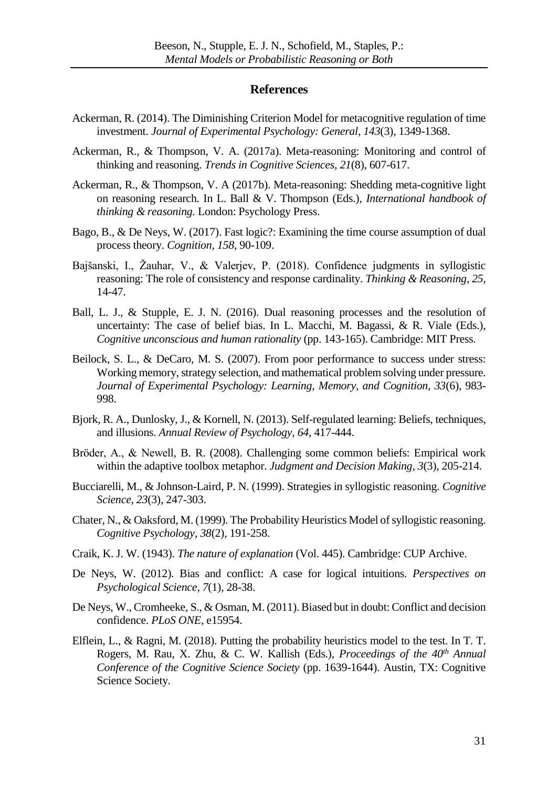#### **References**

- Ackerman, R. (2014). The Diminishing Criterion Model for metacognitive regulation of time investment. *Journal of Experimental Psychology: General, 143*(3), 1349-1368.
- Ackerman, R., & Thompson, V. A. (2017a). Meta-reasoning: Monitoring and control of thinking and reasoning. *Trends in Cognitive Sciences*, *21*(8), 607-617.
- Ackerman, R., & Thompson, V. A (2017b). Meta-reasoning: Shedding meta-cognitive light on reasoning research. In L. Ball & V. Thompson (Eds.), *International handbook of thinking & reasoning.* London: Psychology Press.
- Bago, B., & De Neys, W. (2017). Fast logic?: Examining the time course assumption of dual process theory. *Cognition*, *158*, 90-109.
- Bajšanski, I., Žauhar, V., & Valerjev, P. (2018). Confidence judgments in syllogistic reasoning: The role of consistency and response cardinality. *Thinking & Reasoning*, *25,*  14-47.
- Ball, L. J., & Stupple, E. J. N. (2016). Dual reasoning processes and the resolution of uncertainty: The case of belief bias. In L. Macchi, M. Bagassi, & R. Viale (Eds.), *Cognitive unconscious and human rationality* (pp. 143-165). Cambridge: MIT Press.
- Beilock, S. L., & DeCaro, M. S. (2007). From poor performance to success under stress: Working memory, strategy selection, and mathematical problem solving under pressure. *Journal of Experimental Psychology: Learning, Memory, and Cognition, 33*(6), 983- 998.
- Bjork, R. A., Dunlosky, J., & Kornell, N. (2013). Self-regulated learning: Beliefs, techniques, and illusions. *Annual Review of Psychology, 64*, 417-444.
- Bröder, A., & Newell, B. R. (2008). Challenging some common beliefs: Empirical work within the adaptive toolbox metaphor. *Judgment and Decision Making, 3*(3), 205-214.
- Bucciarelli, M., & Johnson-Laird, P. N. (1999). Strategies in syllogistic reasoning. *Cognitive Science*, *23*(3), 247-303.
- Chater, N., & Oaksford, M. (1999). The Probability Heuristics Model of syllogistic reasoning. *Cognitive Psychology*, *38*(2), 191-258.
- Craik, K. J. W. (1943). *The nature of explanation* (Vol. 445). Cambridge: CUP Archive.
- De Neys, W. (2012). Bias and conflict: A case for logical intuitions. *Perspectives on Psychological Science*, *7*(1), 28-38.
- De Neys, W., Cromheeke, S., & Osman, M. (2011). Biased but in doubt: Conflict and decision confidence. *PLoS ONE*, e15954.
- Elflein, L., & Ragni, M. (2018). Putting the probability heuristics model to the test. In T. T. Rogers, M. Rau, X. Zhu, & C. W. Kallish (Eds.), *Proceedings of the 40th Annual Conference of the Cognitive Science Society* (pp. 1639-1644). Austin, TX: Cognitive Science Society.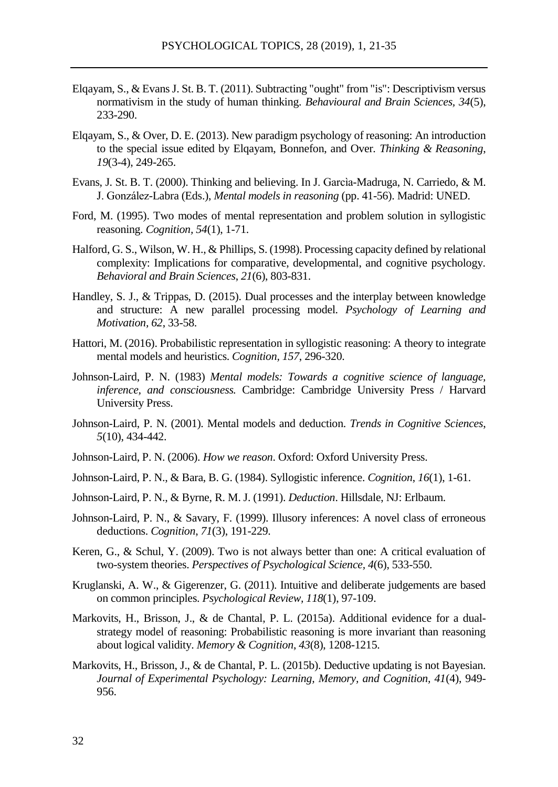- Elqayam, S., & Evans J. St. B. T. (2011). Subtracting "ought" from "is": Descriptivism versus normativism in the study of human thinking. *Behavioural and Brain Sciences, 34*(5), 233-290.
- Elqayam, S., & Over, D. E. (2013). New paradigm psychology of reasoning: An introduction to the special issue edited by Elqayam, Bonnefon, and Over. *Thinking & Reasoning*, *19*(3-4), 249-265.
- Evans, J. St. B. T. (2000). Thinking and believing. In J. Garcìa-Madruga, N. Carriedo, & M. J. González-Labra (Eds.), *Mental models in reasoning* (pp. 41-56). Madrid: UNED.
- Ford, M. (1995). Two modes of mental representation and problem solution in syllogistic reasoning. *Cognition, 54*(1), 1-71.
- Halford, G. S., Wilson, W. H., & Phillips, S. (1998). Processing capacity defined by relational complexity: Implications for comparative, developmental, and cognitive psychology. *Behavioral and Brain Sciences*, *21*(6), 803-831.
- Handley, S. J., & Trippas, D. (2015). Dual processes and the interplay between knowledge and structure: A new parallel processing model. *Psychology of Learning and Motivation, 62*, 33-58.
- Hattori, M. (2016). Probabilistic representation in syllogistic reasoning: A theory to integrate mental models and heuristics. *Cognition, 157*, 296-320.
- Johnson-Laird, P. N. (1983) *Mental models: Towards a cognitive science of language, inference, and consciousness.* Cambridge: Cambridge University Press / Harvard University Press.
- Johnson-Laird, P. N. (2001). Mental models and deduction. *Trends in Cognitive Sciences*, *5*(10), 434-442.
- Johnson-Laird, P. N. (2006). *How we reason*. Oxford: Oxford University Press.
- Johnson-Laird, P. N., & Bara, B. G. (1984). Syllogistic inference. *Cognition*, *16*(1), 1-61.
- Johnson-Laird, P. N., & Byrne, R. M. J. (1991). *Deduction*. Hillsdale, NJ: Erlbaum.
- Johnson-Laird, P. N., & Savary, F. (1999). Illusory inferences: A novel class of erroneous deductions. *Cognition*, *71*(3), 191-229.
- Keren, G., & Schul, Y. (2009). Two is not always better than one: A critical evaluation of two-system theories. *Perspectives of Psychological Science, 4*(6), 533-550.
- Kruglanski, A. W., & Gigerenzer, G. (2011). Intuitive and deliberate judgements are based on common principles. *Psychological Review, 118*(1), 97-109.
- Markovits, H., Brisson, J., & de Chantal, P. L. (2015a). Additional evidence for a dualstrategy model of reasoning: Probabilistic reasoning is more invariant than reasoning about logical validity. *Memory & Cognition*, *43*(8), 1208-1215.
- Markovits, H., Brisson, J., & de Chantal, P. L. (2015b). Deductive updating is not Bayesian. *Journal of Experimental Psychology: Learning, Memory, and Cognition, 41*(4), 949- 956.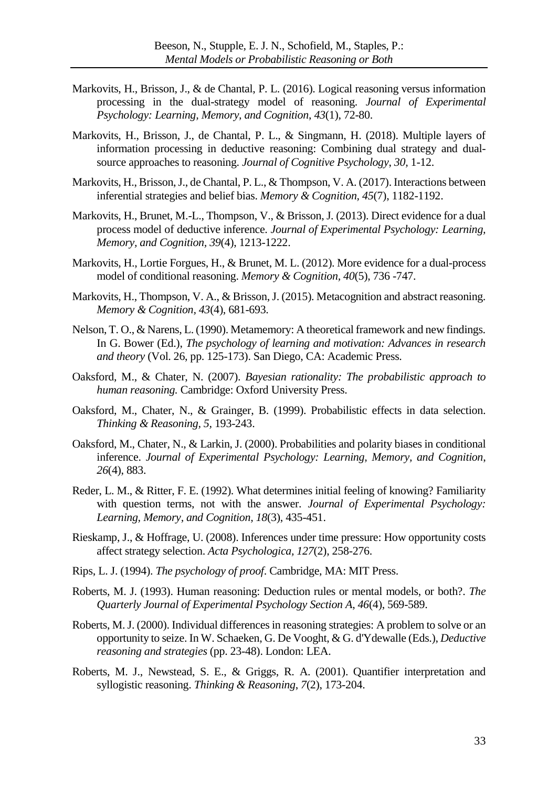- Markovits, H., Brisson, J., & de Chantal, P. L. (2016). Logical reasoning versus information processing in the dual-strategy model of reasoning. *Journal of Experimental Psychology: Learning, Memory, and Cognition*, *43*(1), 72-80.
- Markovits, H., Brisson, J., de Chantal, P. L., & Singmann, H. (2018). Multiple layers of information processing in deductive reasoning: Combining dual strategy and dualsource approaches to reasoning. *Journal of Cognitive Psychology*, *30,* 1-12.
- Markovits, H., Brisson, J., de Chantal, P. L., & Thompson, V. A. (2017). Interactions between inferential strategies and belief bias. *Memory & Cognition, 45*(7), 1182-1192.
- Markovits, H., Brunet, M.-L., Thompson, V., & Brisson, J. (2013). Direct evidence for a dual process model of deductive inference. *Journal of Experimental Psychology: Learning, Memory, and Cognition, 39*(4), 1213-1222.
- Markovits, H., Lortie Forgues, H., & Brunet, M. L. (2012). More evidence for a dual-process model of conditional reasoning. *Memory & Cognition, 40*(5), 736 -747.
- Markovits, H., Thompson, V. A., & Brisson, J. (2015). Metacognition and abstract reasoning. *Memory & Cognition, 43*(4), 681-693.
- Nelson, T. O., & Narens, L. (1990). Metamemory: A theoretical framework and new findings. In G. Bower (Ed.), *The psychology of learning and motivation: Advances in research and theory* (Vol. 26, pp. 125-173). San Diego, CA: Academic Press.
- Oaksford, M., & Chater, N. (2007). *Bayesian rationality: The probabilistic approach to human reasoning.* Cambridge: Oxford University Press.
- Oaksford, M., Chater, N., & Grainger, B. (1999). Probabilistic effects in data selection. *Thinking & Reasoning, 5,* 193-243.
- Oaksford, M., Chater, N., & Larkin, J. (2000). Probabilities and polarity biases in conditional inference. *Journal of Experimental Psychology: Learning, Memory, and Cognition*, *26*(4), 883.
- Reder, L. M., & Ritter, F. E. (1992). What determines initial feeling of knowing? Familiarity with question terms, not with the answer. *Journal of Experimental Psychology: Learning, Memory, and Cognition, 18*(3), 435-451.
- Rieskamp, J., & Hoffrage, U. (2008). Inferences under time pressure: How opportunity costs affect strategy selection. *Acta Psychologica, 127*(2), 258-276.
- Rips, L. J. (1994). *The psychology of proof*. Cambridge, MA: MIT Press.
- Roberts, M. J. (1993). Human reasoning: Deduction rules or mental models, or both?. *The Quarterly Journal of Experimental Psychology Section A*, *46*(4), 569-589.
- Roberts, M. J. (2000). Individual differences in reasoning strategies: A problem to solve or an opportunity to seize. In W. Schaeken, G. De Vooght, & G. d'Ydewalle (Eds.), *Deductive reasoning and strategies* (pp. 23-48). London: LEA.
- Roberts, M. J., Newstead, S. E., & Griggs, R. A. (2001). Quantifier interpretation and syllogistic reasoning. *Thinking & Reasoning*, *7*(2), 173-204.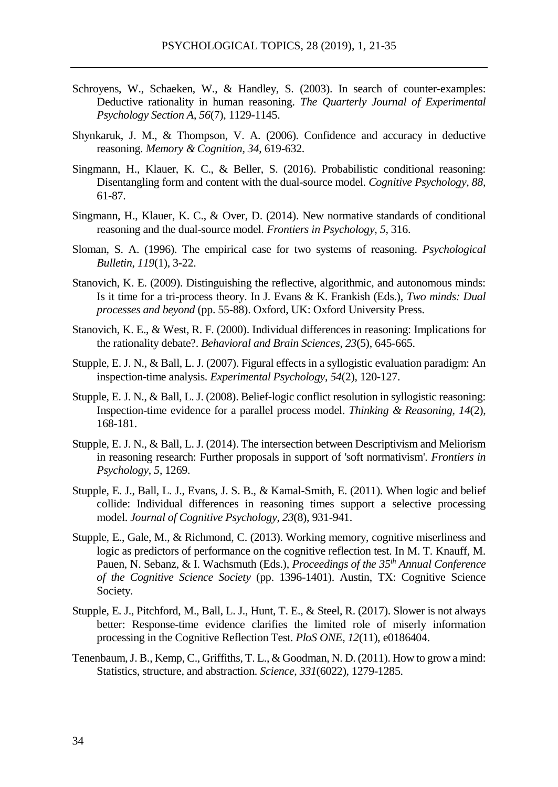- Schroyens, W., Schaeken, W., & Handley, S. (2003). In search of counter-examples: Deductive rationality in human reasoning. *The Quarterly Journal of Experimental Psychology Section A*, *56*(7), 1129-1145.
- Shynkaruk, J. M., & Thompson, V. A. (2006). Confidence and accuracy in deductive reasoning. *Memory & Cognition, 34*, 619-632.
- Singmann, H., Klauer, K. C., & Beller, S. (2016). Probabilistic conditional reasoning: Disentangling form and content with the dual-source model. *Cognitive Psychology, 88*, 61-87.
- Singmann, H., Klauer, K. C., & Over, D. (2014). New normative standards of conditional reasoning and the dual-source model. *Frontiers in Psychology, 5*, 316.
- Sloman, S. A. (1996). The empirical case for two systems of reasoning. *Psychological Bulletin*, *119*(1), 3-22.
- Stanovich, K. E. (2009). Distinguishing the reflective, algorithmic, and autonomous minds: Is it time for a tri-process theory. In J. Evans & K. Frankish (Eds.), *Two minds: Dual processes and beyond* (pp. 55-88). Oxford, UK: Oxford University Press.
- Stanovich, K. E., & West, R. F. (2000). Individual differences in reasoning: Implications for the rationality debate?. *Behavioral and Brain Sciences*, *23*(5), 645-665.
- Stupple, E. J. N., & Ball, L. J. (2007). Figural effects in a syllogistic evaluation paradigm: An inspection-time analysis. *Experimental Psychology*, *54*(2), 120-127.
- Stupple, E. J. N., & Ball, L. J. (2008). Belief-logic conflict resolution in syllogistic reasoning: Inspection-time evidence for a parallel process model. *Thinking & Reasoning, 14*(2), 168-181.
- Stupple, E. J. N., & Ball, L. J. (2014). The intersection between Descriptivism and Meliorism in reasoning research: Further proposals in support of 'soft normativism'. *Frontiers in Psychology*, *5*, 1269.
- Stupple, E. J., Ball, L. J., Evans, J. S. B., & Kamal-Smith, E. (2011). When logic and belief collide: Individual differences in reasoning times support a selective processing model. *Journal of Cognitive Psychology*, *23*(8), 931-941.
- Stupple, E., Gale, M., & Richmond, C. (2013). Working memory, cognitive miserliness and logic as predictors of performance on the cognitive reflection test. In M. T. Knauff, M. Pauen, N. Sebanz, & I. Wachsmuth (Eds.), *Proceedings of the 35th Annual Conference of the Cognitive Science Society* (pp. 1396-1401). Austin, TX: Cognitive Science Society.
- Stupple, E. J., Pitchford, M., Ball, L. J., Hunt, T. E., & Steel, R. (2017). Slower is not always better: Response-time evidence clarifies the limited role of miserly information processing in the Cognitive Reflection Test. *PloS ONE*, *12*(11), e0186404.
- Tenenbaum, J. B., Kemp, C., Griffiths, T. L., & Goodman, N. D. (2011). How to grow a mind: Statistics, structure, and abstraction. *Science*, *331*(6022), 1279-1285.